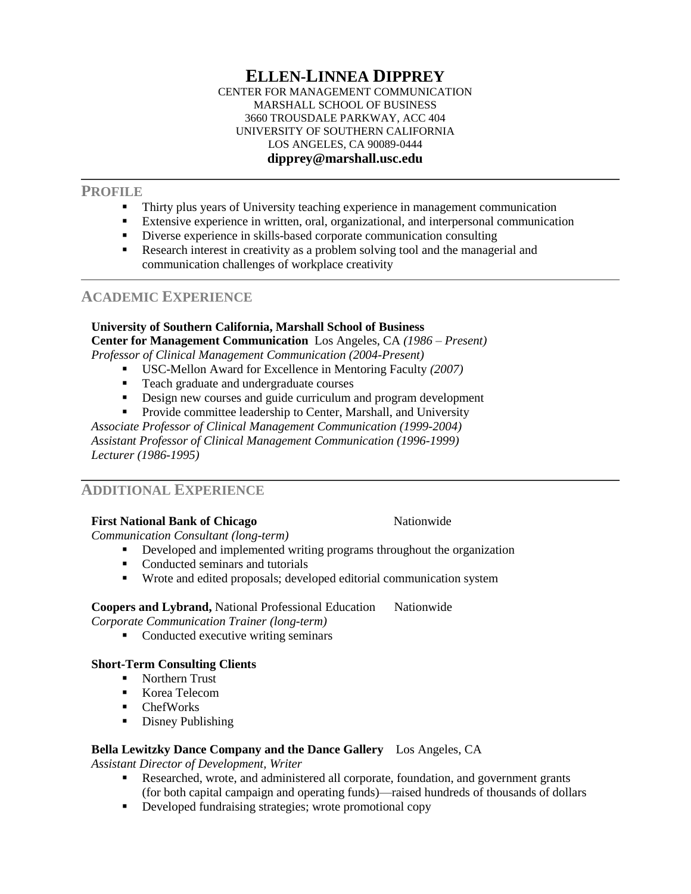#### **ELLEN-LINNEA DIPPREY** CENTER FOR MANAGEMENT COMMUNICATION MARSHALL SCHOOL OF BUSINESS 3660 TROUSDALE PARKWAY, ACC 404 UNIVERSITY OF SOUTHERN CALIFORNIA LOS ANGELES, CA 90089-0444 **dipprey@marshall.usc.edu**

## **PROFILE**

- Thirty plus years of University teaching experience in management communication
- Extensive experience in written, oral, organizational, and interpersonal communication
- Diverse experience in skills-based corporate communication consulting
- Research interest in creativity as a problem solving tool and the managerial and communication challenges of workplace creativity

# **ACADEMIC EXPERIENCE**

#### **University of Southern California, Marshall School of Business Center for Management Communication** Los Angeles, CA *(1986 – Present) Professor of Clinical Management Communication (2004-Present)*

- USC-Mellon Award for Excellence in Mentoring Faculty *(2007)*
- Teach graduate and undergraduate courses
- Design new courses and guide curriculum and program development
- **Provide committee leadership to Center, Marshall, and University**

*Associate Professor of Clinical Management Communication (1999-2004) Assistant Professor of Clinical Management Communication (1996-1999) Lecturer (1986-1995)*

# **ADDITIONAL EXPERIENCE**

# **First National Bank of Chicago National Bank of Chicago National Bank of Chicago**

*Communication Consultant (long-term)*

- Developed and implemented writing programs throughout the organization
- Conducted seminars and tutorials
- Wrote and edited proposals; developed editorial communication system

# **Coopers and Lybrand,** National Professional Education Nationwide

*Corporate Communication Trainer (long-term)*

• Conducted executive writing seminars

# **Short-Term Consulting Clients**

- Northern Trust
- Korea Telecom
- ChefWorks
- Disney Publishing

# **Bella Lewitzky Dance Company and the Dance Gallery** Los Angeles, CA

*Assistant Director of Development, Writer*

- Researched, wrote, and administered all corporate, foundation, and government grants (for both capital campaign and operating funds)—raised hundreds of thousands of dollars
- Developed fundraising strategies; wrote promotional copy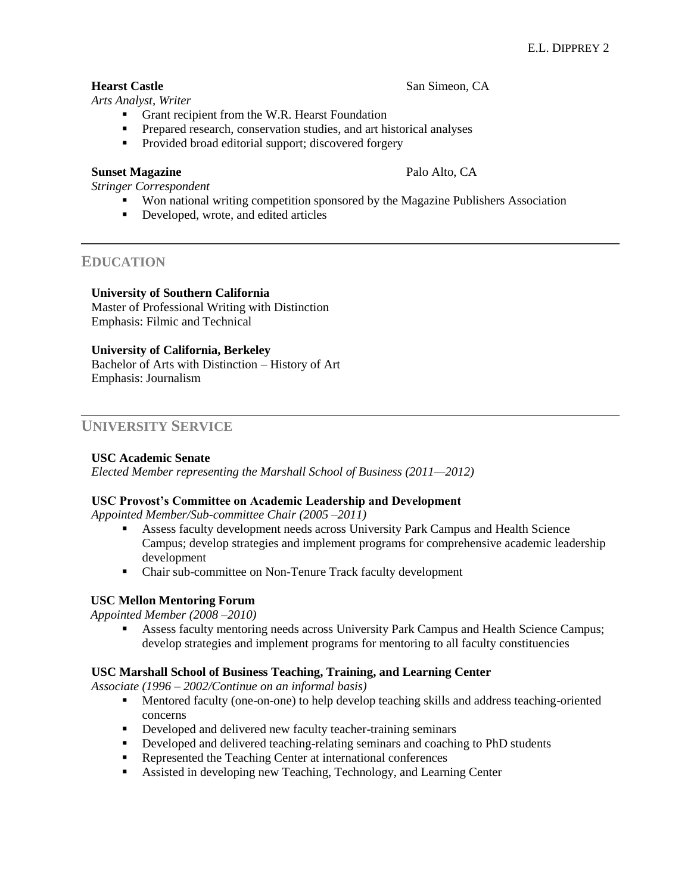## **Hearst Castle** San Simeon, CA

*Arts Analyst, Writer*

- Grant recipient from the W.R. Hearst Foundation
- **Prepared research, conservation studies, and art historical analyses**
- Provided broad editorial support; discovered forgery

#### **Sunset Magazine** Palo Alto, CA

*Stringer Correspondent*

- Won national writing competition sponsored by the Magazine Publishers Association
- Developed, wrote, and edited articles

## **EDUCATION**

#### **University of Southern California**

Master of Professional Writing with Distinction Emphasis: Filmic and Technical

## **University of California, Berkeley**

Bachelor of Arts with Distinction – History of Art Emphasis: Journalism

## **UNIVERSITY SERVICE**

## **USC Academic Senate**

*Elected Member representing the Marshall School of Business (2011—2012)*

## **USC Provost's Committee on Academic Leadership and Development**

*Appointed Member/Sub-committee Chair (2005 –2011)*

- Assess faculty development needs across University Park Campus and Health Science Campus; develop strategies and implement programs for comprehensive academic leadership development
- Chair sub-committee on Non-Tenure Track faculty development

## **USC Mellon Mentoring Forum**

 *Appointed Member (2008 –2010)*

 Assess faculty mentoring needs across University Park Campus and Health Science Campus; develop strategies and implement programs for mentoring to all faculty constituencies

## **USC Marshall School of Business Teaching, Training, and Learning Center**

*Associate (1996 – 2002/Continue on an informal basis)*

- Mentored faculty (one-on-one) to help develop teaching skills and address teaching-oriented concerns
- Developed and delivered new faculty teacher-training seminars
- Developed and delivered teaching-relating seminars and coaching to PhD students
- Represented the Teaching Center at international conferences
- Assisted in developing new Teaching, Technology, and Learning Center